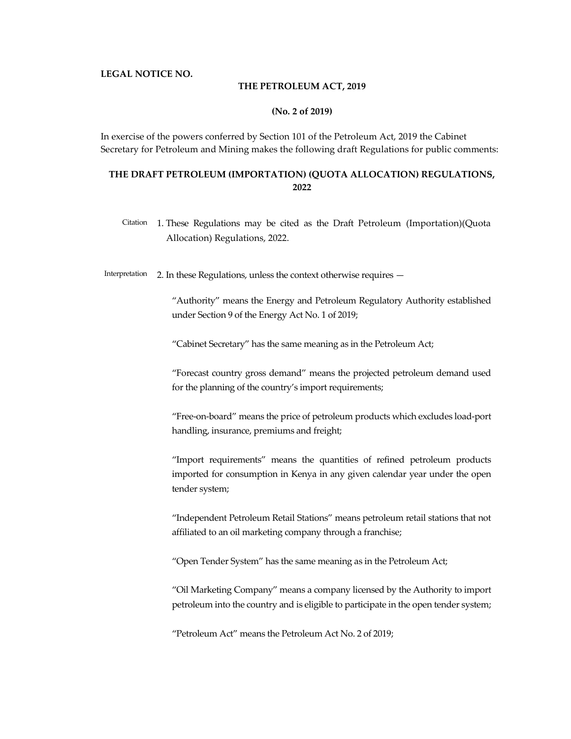### LEGAL NOTICE NO.

### THE PETROLEUM ACT, 2019

### (No. 2 of 2019)

In exercise of the powers conferred by Section 101 of the Petroleum Act, 2019 the Cabinet Secretary for Petroleum and Mining makes the following draft Regulations for public comments:

## THE DRAFT PETROLEUM (IMPORTATION) (QUOTA ALLOCATION) REGULATIONS, 2022

Citation 1. These Regulations may be cited as the Draft Petroleum (Importation)(Quota Allocation) Regulations, 2022.

Interpretation 2. In these Regulations, unless the context otherwise requires —

"Authority" means the Energy and Petroleum Regulatory Authority established under Section 9 of the Energy Act No. 1 of 2019;

"Cabinet Secretary" has the same meaning as in the Petroleum Act;

"Forecast country gross demand" means the projected petroleum demand used for the planning of the country's import requirements;

"Free-on-board" means the price of petroleum products which excludes load-port handling, insurance, premiums and freight;

"Import requirements" means the quantities of refined petroleum products imported for consumption in Kenya in any given calendar year under the open tender system;

"Independent Petroleum Retail Stations" means petroleum retail stations that not affiliated to an oil marketing company through a franchise;

"Open Tender System" has the same meaning as in the Petroleum Act;

"Oil Marketing Company" means a company licensed by the Authority to import petroleum into the country and is eligible to participate in the open tender system;

"Petroleum Act" means the Petroleum Act No. 2 of 2019;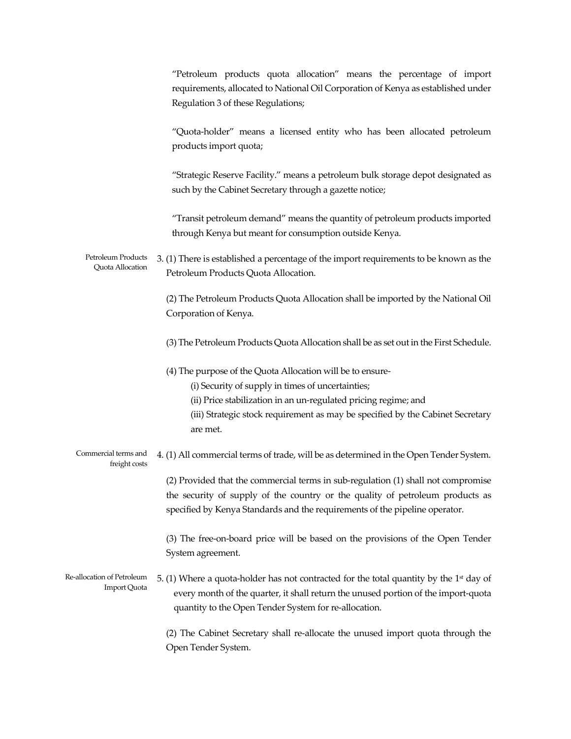|                                                   | "Petroleum products quota allocation" means the percentage of import<br>requirements, allocated to National Oil Corporation of Kenya as established under<br>Regulation 3 of these Regulations;                                                                                  |
|---------------------------------------------------|----------------------------------------------------------------------------------------------------------------------------------------------------------------------------------------------------------------------------------------------------------------------------------|
|                                                   | "Quota-holder" means a licensed entity who has been allocated petroleum<br>products import quota;                                                                                                                                                                                |
|                                                   | "Strategic Reserve Facility." means a petroleum bulk storage depot designated as<br>such by the Cabinet Secretary through a gazette notice;                                                                                                                                      |
|                                                   | "Transit petroleum demand" means the quantity of petroleum products imported<br>through Kenya but meant for consumption outside Kenya.                                                                                                                                           |
| Petroleum Products<br>Quota Allocation            | 3. (1) There is established a percentage of the import requirements to be known as the<br>Petroleum Products Quota Allocation.                                                                                                                                                   |
|                                                   | (2) The Petroleum Products Quota Allocation shall be imported by the National Oil<br>Corporation of Kenya.                                                                                                                                                                       |
|                                                   | (3) The Petroleum Products Quota Allocation shall be as set out in the First Schedule.                                                                                                                                                                                           |
|                                                   | (4) The purpose of the Quota Allocation will be to ensure-<br>(i) Security of supply in times of uncertainties;<br>(ii) Price stabilization in an un-regulated pricing regime; and<br>(iii) Strategic stock requirement as may be specified by the Cabinet Secretary<br>are met. |
| Commercial terms and<br>freight costs             | 4. (1) All commercial terms of trade, will be as determined in the Open Tender System.                                                                                                                                                                                           |
|                                                   | (2) Provided that the commercial terms in sub-regulation (1) shall not compromise<br>the security of supply of the country or the quality of petroleum products as<br>specified by Kenya Standards and the requirements of the pipeline operator.                                |
|                                                   | (3) The free-on-board price will be based on the provisions of the Open Tender<br>System agreement.                                                                                                                                                                              |
| Re-allocation of Petroleum<br><b>Import Quota</b> | 5. (1) Where a quota-holder has not contracted for the total quantity by the $1st$ day of<br>every month of the quarter, it shall return the unused portion of the import-quota<br>quantity to the Open Tender System for re-allocation.                                         |
|                                                   | (2) The Cabinet Secretary shall re-allocate the unused import quota through the<br>Open Tender System.                                                                                                                                                                           |